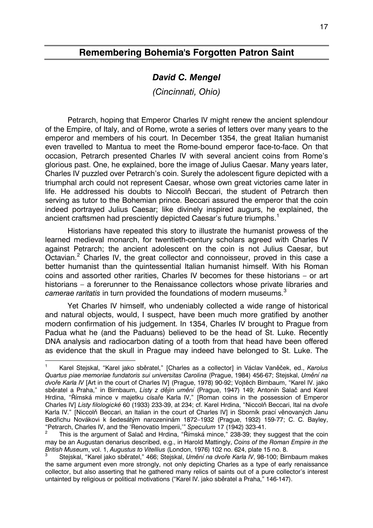## **Remembering Bohemia's Forgotten Patron Saint**

## *David C. Mengel*

*(Cincinnati, Ohio)* 

Petrarch, hoping that Emperor Charles IV might renew the ancient splendour of the Empire, of Italy, and of Rome, wrote a series of letters over many years to the emperor and members of his court. In December 1354, the great Italian humanist even travelled to Mantua to meet the Rome-bound emperor face-to-face. On that occasion, Petrarch presented Charles IV with several ancient coins from Rome's glorious past. One, he explained, bore the image of Julius Caesar. Many years later, Charles IV puzzled over Petrarch's coin. Surely the adolescent figure depicted with a triumphal arch could not represent Caesar, whose own great victories came later in life. He addressed his doubts to Niccolň Beccari, the student of Petrarch then serving as tutor to the Bohemian prince. Beccari assured the emperor that the coin indeed portrayed Julius Caesar; like divinely inspired augurs, he explained, the ancient craftsmen had presciently depicted Caesar's future triumphs.<sup>[1](#page-0-0)</sup>

Historians have repeated this story to illustrate the humanist prowess of the learned medieval monarch, for twentieth-century scholars agreed with Charles IV against Petrarch; the ancient adolescent on the coin is not Julius Caesar, but Octavian.<sup>[2](#page-0-1)</sup> Charles IV, the great collector and connoisseur, proved in this case a better humanist than the quintessential Italian humanist himself. With his Roman coins and assorted other rarities, Charles IV becomes for these historians – or art historians – a forerunner to the Renaissance collectors whose private libraries and *camerae raritatis* in turn provided the foundations of modern museums.[3](#page-0-2)

Yet Charles IV himself, who undeniably collected a wide range of historical and natural objects, would, I suspect, have been much more gratified by another modern confirmation of his judgement. In 1354, Charles IV brought to Prague from Padua what he (and the Paduans) believed to be the head of St. Luke. Recently DNA analysis and radiocarbon dating of a tooth from that head have been offered as evidence that the skull in Prague may indeed have belonged to St. Luke. The

 $\overline{a}$ 

<span id="page-0-0"></span><sup>1</sup> Karel Stejskal, "Karel jako sběratel," [Charles as a collector] in Václav Vaněček, ed., *Karolus Quartus piae memoriae fundatoris sui universitas Carolina* (Prague, 1984) 456-67; Stejskal, *Umění na dvoře Karla IV* [Art in the court of Charles IV] (Prague, 1978) 90-92; Vojtěch Birnbaum, "Karel IV. jako sběratel a Praha," in Birnbaum, *Listy z dějin umění* (Prague, 1947) 149; Antonín Salač and Karel Hrdina, "Římská mince v majetku císaře Karla IV," [Roman coins in the possession of Emperor Charles IV] *Listy filologické* 60 (1933) 233-39, at 234; cf. Karel Hrdina, "Niccolò Beccari, Ital na dvoře Karla IV." [Niccolň Beccari, an Italian in the court of Charles IV] in Sborník prací věnovaných Janu Bedřichu Novákovi k šedesátým narozeninám 1872–1932 (Prague, 1932) 159-77; C. C. Bayley, "Petrarch, Charles IV, and the 'Renovatio Imperii,'" *Speculum* 17 (1942) 323-41.

<span id="page-0-1"></span><sup>2</sup> This is the argument of Salač and Hrdina, "Římská mince," 238-39; they suggest that the coin may be an Augustan denarius described, e.g., in Harold Mattingly, *Coins of the Roman Empire in the British Museum*, vol. 1, *Augustus to Vitellius* (London, 1976) 102 no. 624, plate 15 no. 8.

<span id="page-0-2"></span><sup>3</sup> Stejskal, "Karel jako sběratel," 466; Stejskal, *Umění na dvoře Karla IV*, 98-100; Birnbaum makes the same argument even more strongly, not only depicting Charles as a type of early renaissance collector, but also asserting that he gathered many relics of saints out of a pure collector's interest untainted by religious or political motivations ("Karel IV. jako sběratel a Praha," 146-147).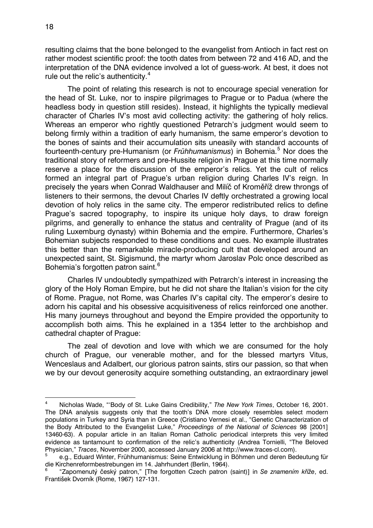resulting claims that the bone belonged to the evangelist from Antioch in fact rest on rather modest scientific proof: the tooth dates from between 72 and 416 AD, and the interpretation of the DNA evidence involved a lot of guess-work. At best, it does not rule out the relic's authenticity. $4$ 

The point of relating this research is not to encourage special veneration for the head of St. Luke, nor to inspire pilgrimages to Prague or to Padua (where the headless body in question still resides). Instead, it highlights the typically medieval character of Charles IV's most avid collecting activity: the gathering of holy relics. Whereas an emperor who rightly questioned Petrarch's judgment would seem to belong firmly within a tradition of early humanism, the same emperor's devotion to the bones of saints and their accumulation sits uneasily with standard accounts of fourteenth-century pre-Humanism (or Frühhumanismus) in Bohemia.<sup>[5](#page-1-1)</sup> Nor does the traditional story of reformers and pre-Hussite religion in Prague at this time normally reserve a place for the discussion of the emperor's relics. Yet the cult of relics formed an integral part of Prague's urban religion during Charles IV's reign. In precisely the years when Conrad Waldhauser and Milíč of Kroměříž drew throngs of listeners to their sermons, the devout Charles IV deftly orchestrated a growing local devotion of holy relics in the same city. The emperor redistributed relics to define Prague's sacred topography, to inspire its unique holy days, to draw foreign pilgrims, and generally to enhance the status and centrality of Prague (and of its ruling Luxemburg dynasty) within Bohemia and the empire. Furthermore, Charles's Bohemian subjects responded to these conditions and cues. No example illustrates this better than the remarkable miracle-producing cult that developed around an unexpected saint, St. Sigismund, the martyr whom Jaroslav Polc once described as Bohemia's forgotten patron saint.<sup>[6](#page-1-2)</sup>

Charles IV undoubtedly sympathized with Petrarch's interest in increasing the glory of the Holy Roman Empire, but he did not share the Italian's vision for the city of Rome. Prague, not Rome, was Charles IV's capital city. The emperor's desire to adorn his capital and his obsessive acquisitiveness of relics reinforced one another. His many journeys throughout and beyond the Empire provided the opportunity to accomplish both aims. This he explained in a 1354 letter to the archbishop and cathedral chapter of Prague:

The zeal of devotion and love with which we are consumed for the holy church of Prague, our venerable mother, and for the blessed martyrs Vitus, Wenceslaus and Adalbert, our glorious patron saints, stirs our passion, so that when we by our devout generosity acquire something outstanding, an extraordinary jewel

<span id="page-1-0"></span> $\frac{1}{4}$  Nicholas Wade, "'Body of St. Luke Gains Credibility," *The New York Times*, October 16, 2001. The DNA analysis suggests only that the tooth's DNA more closely resembles select modern populations in Turkey and Syria than in Greece (Cristiano Vernesi et al., "Genetic Characterization of the Body Attributed to the Evangelist Luke," *Proceedings of the National of Sciences* 98 [2001] 13460-63). A popular article in an Italian Roman Catholic periodical interprets this very limited evidence as tantamount to confirmation of the relic's authenticity (Andrea Tornielli, "The Beloved Physician," *Traces*, November 2000, accessed January 2006 at http://www.traces-cl.com).

<span id="page-1-1"></span><sup>5</sup> e.g., Eduard Winter, Frühhumanismus: Seine Entwicklung in Böhmen und deren Bedeutung für die Kirchenreformbestrebungen im 14. Jahrhundert (Berlin, 1964).

<span id="page-1-2"></span><sup>6</sup> "Zapomenutý český patron," [The forgotten Czech patron (saint)] in *Se znamením kříže*, ed. František Dvorník (Rome, 1967) 127-131.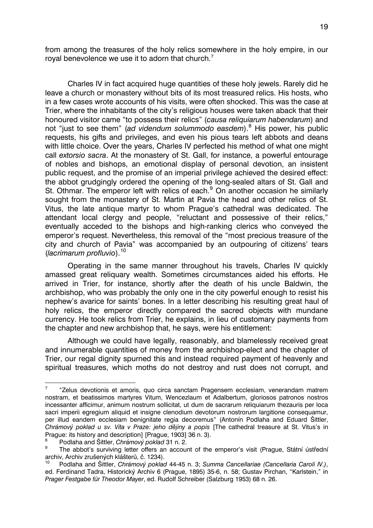from among the treasures of the holy relics somewhere in the holy empire, in our royal benevolence we use it to adorn that church.<sup>[7](#page-2-0)</sup>

Charles IV in fact acquired huge quantities of these holy jewels. Rarely did he leave a church or monastery without bits of its most treasured relics. His hosts, who in a few cases wrote accounts of his visits, were often shocked. This was the case at Trier, where the inhabitants of the city's religious houses were taken aback that their honoured visitor came "to possess their relics" (*causa reliquiarum habendarum*) and not "just to see them" (ad videndum solummodo easdem).<sup>[8](#page-2-1)</sup> His power, his public requests, his gifts and privileges, and even his pious tears left abbots and deans with little choice. Over the years, Charles IV perfected his method of what one might call *extorsio sacra*. At the monastery of St. Gall, for instance, a powerful entourage of nobles and bishops, an emotional display of personal devotion, an insistent public request, and the promise of an imperial privilege achieved the desired effect: the abbot grudgingly ordered the opening of the long-sealed altars of St. Gall and St. Othmar. The emperor left with relics of each.<sup>[9](#page-2-2)</sup> On another occasion he similarly sought from the monastery of St. Martin at Pavia the head and other relics of St. Vitus, the late antique martyr to whom Prague's cathedral was dedicated. The attendant local clergy and people, "reluctant and possessive of their relics," eventually acceded to the bishops and high-ranking clerics who conveyed the emperor's request. Nevertheless, this removal of the "most precious treasure of the city and church of Pavia" was accompanied by an outpouring of citizens' tears (*lacrimarum profluvio*).[10](#page-2-3)

Operating in the same manner throughout his travels, Charles IV quickly amassed great reliquary wealth. Sometimes circumstances aided his efforts. He arrived in Trier, for instance, shortly after the death of his uncle Baldwin, the archbishop, who was probably the only one in the city powerful enough to resist his nephew's avarice for saints' bones. In a letter describing his resulting great haul of holy relics, the emperor directly compared the sacred objects with mundane currency. He took relics from Trier, he explains, in lieu of customary payments from the chapter and new archbishop that, he says, were his entitlement:

Although we could have legally, reasonably, and blamelessly received great and innumerable quantities of money from the archbishop-elect and the chapter of Trier, our regal dignity spurned this and instead required payment of heavenly and spiritual treasures, which moths do not destroy and rust does not corrupt, and

<span id="page-2-0"></span> $\frac{1}{7}$  "Zelus devotionis et amoris, quo circa sanctam Pragensem ecclesiam, venerandam matrem nostram, et beatissimos martyres Vitum, Wencezlaum et Adalbertum, gloriosos patronos nostros incessanter afficimur, animum nostrum sollicitat, ut dum de sacrarum reliquiarum thezauris per loca sacri imperii egregium aliquid et insigne clenodium devotorum nostrorum largitione consequamur, per illud eandem ecclesiam benignitate regia decoremus" (Antonín Podlaha and Eduard Šittler, *Chrámový poklad u sv. Víta v Praze: jeho dějiny a popis* [The cathedral treasure at St. Vitus's in Prague: its history and description] [Prague, 1903] 36 n. 3).

<sup>8</sup> Podlaha and Šittler, *Chrámový poklad* 31 n. 2.

<span id="page-2-2"></span><span id="page-2-1"></span><sup>9</sup> The abbot's surviving letter offers an account of the emperor's visit (Prague, Státní ústřední archiv, Archiv zrušených klášterů, č. 1234).

<span id="page-2-3"></span><sup>10</sup> Podlaha and Šittler, *Chrámový poklad* 44-45 n. 3; *Summa Cancellariae (Cancellaria Caroli IV.)*, ed. Ferdinand Tadra, Historický Archiv 6 (Prague, 1895) 35-6, n. 58; Gustav Pirchan, "Karlstein," in *Prager Festgabe für Theodor Mayer*, ed. Rudolf Schreiber (Salzburg 1953) 68 n. 26.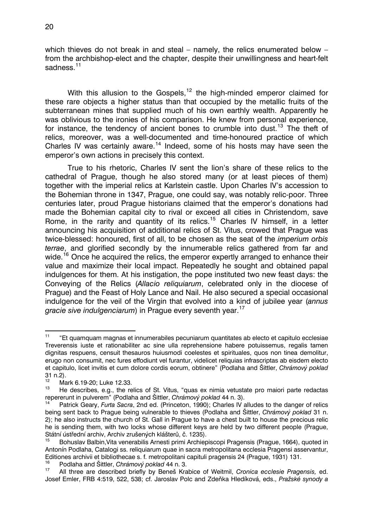which thieves do not break in and steal – namely, the relics enumerated below – from the archbishop-elect and the chapter, despite their unwillingness and heart-felt sadness.<sup>[11](#page-3-0)</sup>

With this allusion to the Gospels, $12$  the high-minded emperor claimed for these rare objects a higher status than that occupied by the metallic fruits of the subterranean mines that supplied much of his own earthly wealth. Apparently he was oblivious to the ironies of his comparison. He knew from personal experience, for instance, the tendency of ancient bones to crumble into dust.<sup>[13](#page-3-2)</sup> The theft of relics, moreover, was a well-documented and time-honoured practice of which Charles IV was certainly aware.[14](#page-3-3) Indeed, some of his hosts may have seen the emperor's own actions in precisely this context.

True to his rhetoric, Charles IV sent the lion's share of these relics to the cathedral of Prague, though he also stored many (or at least pieces of them) together with the imperial relics at Karlstein castle. Upon Charles IV's accession to the Bohemian throne in 1347, Prague, one could say, was notably relic-poor. Three centuries later, proud Prague historians claimed that the emperor's donations had made the Bohemian capital city to rival or exceed all cities in Christendom, save Rome, in the rarity and quantity of its relics.<sup>[15](#page-3-4)</sup> Charles IV himself, in a letter announcing his acquisition of additional relics of St. Vitus, crowed that Prague was twice-blessed: honoured, first of all, to be chosen as the seat of the *imperium orbis terrae*, and glorified secondly by the innumerable relics gathered from far and wide.<sup>[16](#page-3-5)</sup> Once he acquired the relics, the emperor expertly arranged to enhance their value and maximize their local impact. Repeatedly he sought and obtained papal indulgences for them. At his instigation, the pope instituted two new feast days: the Conveying of the Relics (*Allacio reliquiarum*, celebrated only in the diocese of Prague) and the Feast of Holy Lance and Nail. He also secured a special occasional indulgence for the veil of the Virgin that evolved into a kind of jubilee year (*annus gracie sive indulgenciarum*) in Prague every seventh year.<sup>[17](#page-3-6)</sup>

<span id="page-3-0"></span> $11$ 11 "Et quamquam magnas et innumerabiles pecuniarum quantitates ab electo et capitulo ecclesiae Treverensis iuste et rationabiliter ac sine ulla reprehensione habere potuissemus, regalis tamen dignitas respuens, censuit thesauros huiusmodi coelestes et spirituales, quos non tinea demolitur, erugo non consumit, nec fures effodiunt vel furantur, videlicet reliquias infrascriptas ab eisdem electo et capitulo, licet invitis et cum dolore cordis eorum, obtinere" (Podlaha and Šittler, *Chrámový poklad*  31 n.2).

<span id="page-3-1"></span> $^{12}$  Mark 6.19-20; Luke 12.33.

<span id="page-3-2"></span><sup>13</sup> He describes, e.g., the relics of St. Vitus, "quas ex nimia vetustate pro maiori parte redactas repererunt in pulverem" (Podlaha and Šittler, *Chrámový poklad* 44 n. 3).

<span id="page-3-3"></span><sup>14</sup> Patrick Geary, *Furta Sacra*, 2nd ed. (Princeton, 1990); Charles IV alludes to the danger of relics being sent back to Prague being vulnerable to thieves (Podlaha and Šittler, *Chrámový poklad* 31 n. 2); he also instructs the church of St. Gall in Prague to have a chest built to house the precious relic he is sending them, with two locks whose different keys are held by two different people (Prague, Státní ústřední archiv, Archiv zrušených klášterů, č. 1235).

<span id="page-3-4"></span><sup>15</sup> Bohuslav Balbin,Vita venerabilis Arnesti primi Archiepiscopi Pragensis (Prague, 1664), quoted in Antonín Podlaha, Catalogi ss. reliquiarum quae in sacra metropolitana ecclesia Pragensi asservantur, Editiones archivii et bibliothecae s. f. metropolitani capituli pragensis 24 (Prague, 1931) 131.

<span id="page-3-5"></span><sup>16</sup> Podlaha and Šittler, *Chrámový poklad* 44 n. 3.

<span id="page-3-6"></span><sup>17</sup> All three are described briefly by Beneš Krabice of Weitmil, *Cronica ecclesie Pragensis,* ed. Josef Emler, FRB 4:519, 522, 538; cf. Jaroslav Polc and Zdeňka Hledíková, eds., *Pražské synody a*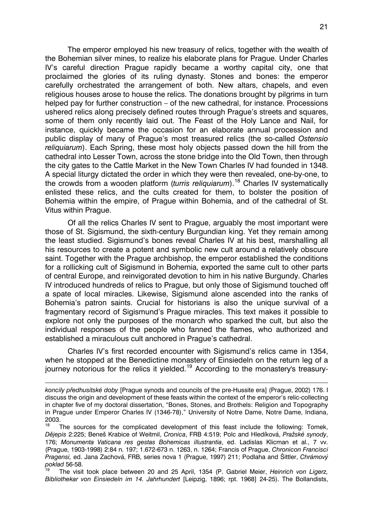The emperor employed his new treasury of relics, together with the wealth of the Bohemian silver mines, to realize his elaborate plans for Prague. Under Charles IV's careful direction Prague rapidly became a worthy capital city, one that proclaimed the glories of its ruling dynasty. Stones and bones: the emperor carefully orchestrated the arrangement of both. New altars, chapels, and even religious houses arose to house the relics. The donations brought by pilgrims in turn helped pay for further construction – of the new cathedral, for instance. Processions ushered relics along precisely defined routes through Prague's streets and squares, some of them only recently laid out. The Feast of the Holy Lance and Nail, for instance, quickly became the occasion for an elaborate annual procession and public display of many of Prague's most treasured relics (the so-called *Ostensio reliquiarum*). Each Spring, these most holy objects passed down the hill from the cathedral into Lesser Town, across the stone bridge into the Old Town, then through the city gates to the Cattle Market in the New Town Charles IV had founded in 1348. A special liturgy dictated the order in which they were then revealed, one-by-one, to the crowds from a wooden platform (*turris reliquiarum*).[18](#page-4-0) Charles IV systematically enlisted these relics, and the cults created for them, to bolster the position of Bohemia within the empire, of Prague within Bohemia, and of the cathedral of St. Vitus within Prague.

Of all the relics Charles IV sent to Prague, arguably the most important were those of St. Sigismund, the sixth-century Burgundian king. Yet they remain among the least studied. Sigismund's bones reveal Charles IV at his best, marshalling all his resources to create a potent and symbolic new cult around a relatively obscure saint. Together with the Prague archbishop, the emperor established the conditions for a rollicking cult of Sigismund in Bohemia, exported the same cult to other parts of central Europe, and reinvigorated devotion to him in his native Burgundy. Charles IV introduced hundreds of relics to Prague, but only those of Sigismund touched off a spate of local miracles. Likewise, Sigismund alone ascended into the ranks of Bohemia's patron saints. Crucial for historians is also the unique survival of a fragmentary record of Sigismund's Prague miracles. This text makes it possible to explore not only the purposes of the monarch who sparked the cult, but also the individual responses of the people who fanned the flames, who authorized and established a miraculous cult anchored in Prague's cathedral.

Charles IV's first recorded encounter with Sigismund's relics came in 1354, when he stopped at the Benedictine monastery of Einsiedeln on the return leg of a iourney notorious for the relics it yielded.<sup>[19](#page-4-1)</sup> According to the monastery's treasury-

 $\overline{a}$ 

*koncily předhusitské doby* [Prague synods and councils of the pre-Hussite era] (Prague, 2002) 176. I discuss the origin and development of these feasts within the context of the emperor's relic-collecting in chapter five of my doctoral dissertation, "Bones, Stones, and Brothels: Religion and Topography in Prague under Emperor Charles IV (1346-78)," University of Notre Dame, Notre Dame, Indiana,  $2003.$ 

<span id="page-4-0"></span>The sources for the complicated development of this feast include the following: Tomek, *Dějepis* 2:225; Beneš Krabice of Weitmil, *Cronica*, FRB 4:519; Polc and Hledíková, *Pražské synody*, 176; *Monumenta Vaticana res gestas Bohemicas illustrantia*, ed. Ladislas Klicman et al., 7 vv. (Prague, 1903-1998) 2:84 n. 197; 1.672-673 n. 1263, n. 1264; Francis of Prague, *Chronicon Francisci Pragensi,* ed. Jana Zachová, FRB, series nova 1 (Prague, 1997) 211; Podlaha and Šittler, *Chrámový poklad* 56-58.

<span id="page-4-1"></span><sup>19</sup> The visit took place between 20 and 25 April, 1354 (P. Gabriel Meier, *Heinrich von Ligerz, Bibliothekar von Einsiedeln im 14. Jahrhundert* [Leipzig, 1896; rpt. 1968] 24-25). The Bollandists,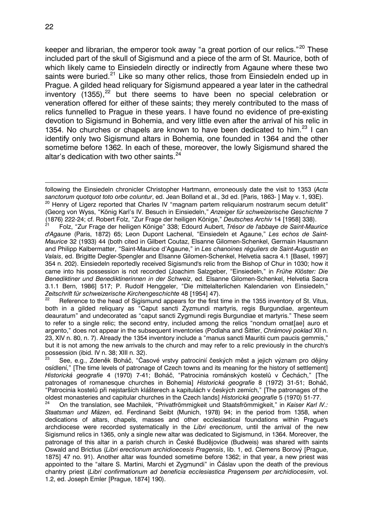$\overline{a}$ 

keeper and librarian, the emperor took away "a great portion of our relics."<sup>[20](#page-5-0)</sup> These included part of the skull of Sigismund and a piece of the arm of St. Maurice, both of which likely came to Einsiedeln directly or indirectly from Agaune where these two saints were buried.<sup>[21](#page-5-1)</sup> Like so many other relics, those from Einsiedeln ended up in Prague. A gilded head reliquary for Sigismund appeared a year later in the cathedral inventory (1355), $^{22}$  $^{22}$  $^{22}$  but there seems to have been no special celebration or veneration offered for either of these saints; they merely contributed to the mass of relics funnelled to Prague in these years. I have found no evidence of pre-existing devotion to Sigismund in Bohemia, and very little even after the arrival of his relic in 1354. No churches or chapels are known to have been dedicated to him.<sup>[23](#page-5-3)</sup> I can identify only two Sigismund altars in Bohemia, one founded in 1364 and the other sometime before 1362. In each of these, moreover, the lowly Sigismund shared the altar's dedication with two other saints.<sup>[24](#page-5-4)</sup>

<span id="page-5-1"></span>21 Folz, "Zur Frage der heiligen Könige" 338; Edourd Aubert, *Trésor de l'abbaye de Saint-Maurice d'Agaune* (Paris, 1872) 65; Leon Dupont Lachenal, "Einsiedeln et Agaune," *Les echos de Saint-Maurice* 32 (1933) 44 (both cited in Gilbert Coutaz, Elsanne Gilomen-Schenkel, Germain Hausmann and Philipp Kalbermatter, "Saint-Maurice d'Agaune," in *Les chanoines réguliers de Saint-Augustin en Valais*, ed. Brigitte Degler-Spengler and Elsanne Gilomen-Schenkel, Helvetia sacra 4.1 [Basel, 1997] 354 n. 202). Einsiedeln reportedly received Sigismund's relic from the Bishop of Chur in 1030; how it came into his possession is not recorded (Joachim Salzgeber, "Einsiedeln," in *Frühe Klöster: Die Benediktiner und Benediktinerinnen in der Schweiz*, ed. Elsanne Gilomen-Schenkel, Helvetia Sacra 3.1.1 Bern, 1986] 517; P. Rudolf Henggeler, "Die mittelalterlichen Kalendarien von Einsiedeln," *Zeitschrift für schweizerische Kirchengeschichte* 48 [1954] 47).

<span id="page-5-2"></span>Reference to the head of Sigismund appears for the first time in the 1355 inventory of St. Vitus, both in a gilded reliquary as "Caput sancti Zyzmundi martyris, regis Burgundiae, argenteum deauratum" and undecorated as "caput sancti Zygmundi regis Burgundiae et martyris." These seem to refer to a single relic; the second entry, included among the relics "nondum ornat[ae] auro et argento," does not appear in the subsequent inventories (Podlaha and Šittler, *Chrámový poklad* XII n. 23, XIV n. 80, n. 7). Already the 1354 inventory include a "manus sancti Mauritii cum paucis gemmis," but it is not among the new arrivals to the church and may refer to a relic previously in the church's possession (ibid. IV n. 38; XIII n. 32).

<span id="page-5-3"></span>23 See, e.g., Zdeněk Boháč, "Časové vrstvy patrocinií českých měst a jejich význam pro dějiny osídlení," [The time levels of patronage of Czech towns and its meaning for the history of settlement] *Historická geografie* 4 (1970) 7-41; Boháč, "Patrocinia románských kostelů v Čechách," [The patronages of romanesque churches in Bohemia] *Historická geografie* 8 (1972) 31-51; Boháč, "Patrocinia kostelů při nejstarších klášterech a kapitulách v českých zemích," [The patronages of the oldest monasteries and capitular churches in the Czech lands] *Historická geografie* 5 (1970) 51-77.

<span id="page-5-4"></span>24 On the translation, see Machilek, "Privatfrömmigkeit und Staatsfrömmigkeit," in *Kaiser Karl IV.: Staatsman und Mäzen*, ed. Ferdinand Seibt (Munich, 1978) 94; in the period from 1358, when dedications of altars, chapels, masses and other ecclesiastical foundations within Prague's archdiocese were recorded systematically in the *Libri erectionum*, until the arrival of the new Sigismund relics in 1365, only a single new altar was dedicated to Sigismund, in 1364. Moreover, the patronage of this altar in a parish church in České Budějovice (Budweis) was shared with saints Oswald and Brictius (*Libri erectionum archidioecesis Pragensis*, lib. 1, ed. Clemens Borový [Prague, 1875] 47 no. 91). Another altar was founded sometime before 1362; in that year, a new priest was appointed to the "altare S. Martini, Marchi et Zygmundi" in Čáslav upon the death of the previous chantry priest (*Libri confirmationum ad beneficia ecclesiastica Pragensem per archidiocesim*, vol. 1.2, ed. Joseph Emler [Prague, 1874] 190).

<span id="page-5-0"></span>following the Einsiedeln chronicler Christopher Hartmann, erroneously date the visit to 1353 (*Acta sanctorum quotquot toto orbe coluntur*, ed. Jean Bolland et al., 3d ed. [Paris, 1863- ] May v. 1, 93E). <sup>20</sup> Henry of Ligerz reported that Charles IV "magnam partem reliquiarum nostrarum secum detulit" (Georg von Wyss, "König Karl's IV. Besuch in Einsiedeln," *Anzeiger für schweizerische Geschichte* 7 (1876) 222-24; cf. Robert Folz, "Zur Frage der heiligen Könige," *Deutsches Archiv* 14 [1958] 338).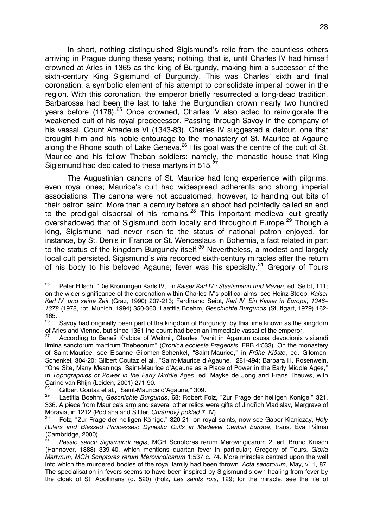In short, nothing distinguished Sigismund's relic from the countless others arriving in Prague during these years; nothing, that is, until Charles IV had himself crowned at Arles in 1365 as the king of Burgundy, making him a successor of the sixth-century King Sigismund of Burgundy. This was Charles' sixth and final coronation, a symbolic element of his attempt to consolidate imperial power in the region. With this coronation, the emperor briefly resurrected a long-dead tradition. Barbarossa had been the last to take the Burgundian crown nearly two hundred years before  $(1178)^{25}$  $(1178)^{25}$  $(1178)^{25}$  Once crowned, Charles IV also acted to reinvigorate the weakened cult of his royal predecessor. Passing through Savoy in the company of his vassal, Count Amadeus VI (1343-83), Charles IV suggested a detour, one that brought him and his noble entourage to the monastery of St. Maurice at Agaune along the Rhone south of Lake Geneva.<sup>[26](#page-6-1)</sup> His goal was the centre of the cult of St. Maurice and his fellow Theban soldiers: namely, the monastic house that King Sigismund had dedicated to these martyrs in 515.

The Augustinian canons of St. Maurice had long experience with pilgrims, even royal ones; Maurice's cult had widespread adherents and strong imperial associations. The canons were not accustomed, however, to handing out bits of their patron saint. More than a century before an abbot had pointedly called an end to the prodigal dispersal of his remains.<sup>[28](#page-6-3)</sup> This important medieval cult greatly overshadowed that of Sigismund both locally and throughout Europe.<sup>[29](#page-6-4)</sup> Though a king, Sigismund had never risen to the status of national patron enjoyed, for instance, by St. Denis in France or St. Wenceslaus in Bohemia, a fact related in part to the status of the kingdom Burgundy itself.<sup>[30](#page-6-5)</sup> Nevertheless, a modest and largely local cult persisted. Sigismund's *vita* recorded sixth-century miracles after the return of his body to his beloved Agaune; fever was his specialty.<sup>[31](#page-6-6)</sup> Gregory of Tours

<span id="page-6-0"></span><sup>25</sup> 25 Peter Hilsch, "Die Krönungen Karls IV," in *Kaiser Karl IV.: Staatsmann und Mäzen*, ed. Seibt, 111; on the wider significance of the coronation within Charles IV's political aims, see Heinz Stoob, *Kaiser Karl IV. und seine Zeit* (Graz, 1990) 207-213; Ferdinand Seibt, *Karl IV. Ein Kaiser in Europa, 1346– 1378* (1978, rpt. Munich, 1994) 350-360; Laetitia Boehm, *Geschichte Burgunds* (Stuttgart, 1979) 162-  $165.$ 

<span id="page-6-1"></span>Savoy had originally been part of the kingdom of Burgundy, by this time known as the kingdom of Arles and Vienne, but since 1361 the count had been an immediate vassal of the emperor.

<span id="page-6-2"></span>According to Beneš Krabice of Weitmil, Charles "venit in Aganum causa devocionis visitandi limina sanctorum martirum Thebeorum" (*Cronica ecclesie Pragensis*, FRB 4:533). On the monastery of Saint-Maurice, see Elsanne Gilomen-Schenkel, "Saint-Maurice," in *Frühe Klöste*, ed. Gilomen-Schenkel, 304-20; Gilbert Coutaz et al., "Saint-Maurice d'Agaune," 281-494; Barbara H. Rosenwein, "One Site, Many Meanings: Saint-Maurice d'Agaune as a Place of Power in the Early Middle Ages," in *Topographies of Power in the Early Middle Ages*, ed. Mayke de Jong and Frans Theuws, with Carine van Rhijn (Leiden, 2001) 271-90.

<span id="page-6-3"></span><sup>&</sup>lt;sup>28</sup> Gilbert Coutaz et al., "Saint-Maurice d'Agaune," 309.<br><sup>29</sup> Lectitie Bechm, Casshighte Burgunde, 69: Pebert E

<span id="page-6-4"></span><sup>29</sup> Laetitia Boehm, *Geschichte Burgunds*, 68; Robert Folz, "Zur Frage der heiligen Könige," 321, 336. A piece from Maurice's arm and several other relics were gifts of Jindřich Vladislav, Margrave of Moravia, in 1212 (Podlaha and Šittler, *Chrámový poklad* 7, IV).

<span id="page-6-5"></span><sup>30</sup> Folz, "Zur Frage der heiligen Könige," 320-21; on royal saints, now see Gábor Klaniczay, *Holy Rulers and Blessed Princesses: Dynastic Cults in Medieval Central Europe*, trans. Éva Pálmai  $\frac{1}{2}$ (Cambridge, 2000).

<span id="page-6-6"></span><sup>31</sup> *Passio sancti Sigismundi regis*, MGH Scriptores rerum Merovingicarum 2, ed. Bruno Krusch (Hannover, 1888) 339-40, which mentions quartan fever in particular; Gregory of Tours, *Gloria Martyrum*, *MGH Scriptores rerum Merovingicarum* 1:537 c. 74. More miracles centred upon the well into which the murdered bodies of the royal family had been thrown. *Acta sanctorum*, May, v. 1, 87. The specialisation in fevers seems to have been inspired by Sigismund's own healing from fever by the cloak of St. Apollinaris (d. 520) (Folz, *Les saints rois*, 129; for the miracle, see the life of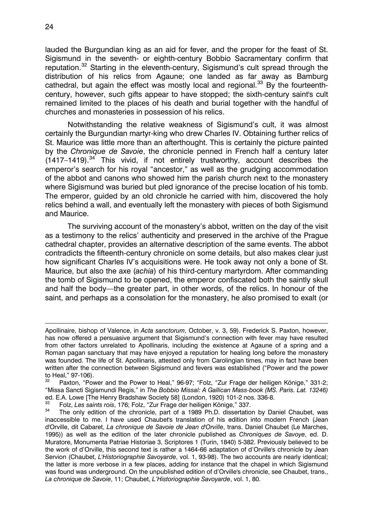lauded the Burgundian king as an aid for fever, and the proper for the feast of St. Sigismund in the seventh- or eighth-century Bobbio Sacramentary confirm that reputation.[32](#page-7-0) Starting in the eleventh-century, Sigismund's cult spread through the distribution of his relics from Agaune; one landed as far away as Bamburg cathedral, but again the effect was mostly local and regional.<sup>[33](#page-7-1)</sup> By the fourteenthcentury, however, such gifts appear to have stopped; the sixth-century saint's cult remained limited to the places of his death and burial together with the handful of churches and monasteries in possession of his relics.

Notwithstanding the relative weakness of Sigismund's cult, it was almost certainly the Burgundian martyr-king who drew Charles IV. Obtaining further relics of St. Maurice was little more than an afterthought. This is certainly the picture painted by the *Chronique de Savoie*, the chronicle penned in French half a century later  $(1417-1419).$ <sup>[34](#page-7-2)</sup> This vivid, if not entirely trustworthy, account describes the emperor's search for his royal "ancestor," as well as the grudging accommodation of the abbot and canons who showed him the parish church next to the monastery where Sigismund was buried but pled ignorance of the precise location of his tomb. The emperor, guided by an old chronicle he carried with him, discovered the holy relics behind a wall, and eventually left the monastery with pieces of both Sigismund and Maurice.

The surviving account of the monastery's abbot, written on the day of the visit as a testimony to the relics' authenticity and preserved in the archive of the Prague cathedral chapter, provides an alternative description of the same events. The abbot contradicts the fifteenth-century chronicle on some details, but also makes clear just how significant Charles IV's acquisitions were. He took away not only a bone of St. Maurice, but also the axe (*achia*) of his third-century martyrdom. After commanding the tomb of Sigismund to be opened, the emperor confiscated both the saintly skull and half the body—the greater part, in other words, of the relics. In honour of the saint, and perhaps as a consolation for the monastery, he also promised to exalt (or

 $\overline{a}$ 

Apollinaire, bishop of Valence, in *Acta sanctorum*, October, v. 3, 59). Frederick S. Paxton, however, has now offered a persuasive argument that Sigismund's connection with fever may have resulted from other factors unrelated to Apollinaris, including the existence at Agaune of a spring and a Roman pagan sanctuary that may have enjoyed a reputation for healing long before the monastery was founded. The life of St. Apollinaris, attested only from Carolingian times, may in fact have been written after the connection between Sigismund and fevers was established ("Power and the power to Heal,"  $97-106$ ).<br> $32\qquad \qquad$  Boyton "Boy

<span id="page-7-0"></span>Paxton, "Power and the Power to Heal," 96-97; "Folz, "Zur Frage der heiligen Könige," 331-2; "Missa Sancti Sigismundi Regis," in *The Bobbio Missal: A Gallican Mass-book (MS. Paris. Lat. 13246)*  ed. E.A. Lowe [The Henry Bradshaw Society 58] (London, 1920) 101-2 nos. 336-8.

<span id="page-7-1"></span><sup>33</sup> Folz, *Les saints rois*, 176; Folz, "Zur Frage der heiligen Könige," 337.

<span id="page-7-2"></span>The only edition of the chronicle, part of a 1989 Ph.D. dissertation by Daniel Chaubet, was inaccessible to me. I have used Chaubet's translation of his edition into modern French (Jean d'Orville, dit Cabaret, *La chronique de Savoie de Jean d'Orville*, trans. Daniel Chaubet (Le Marches, 1995)) as well as the edition of the later chronicle published as *Chroniques de Savoye*, ed. D. Muratore, Monumenta Patriae Historiae 3, Scriptores 1 (Turin, 1840) 5-382. Previously believed to be the work of d'Orville, this second text is rather a 1464-66 adaptation of d'Orville's chronicle by Jean Servion (Chaubet, *L'Historiographie Savoyarde*, vol. 1, 93-98). The two accounts are nearly identical; the latter is more verbose in a few places, adding for instance that the chapel in which Sigismund was found was underground. On the unpublished edition of d'Orville's chronicle, see Chaubet, trans., *La chronique de Savoie*, 11; Chaubet, *L'Historiographie Savoyarde*, vol. 1, 80.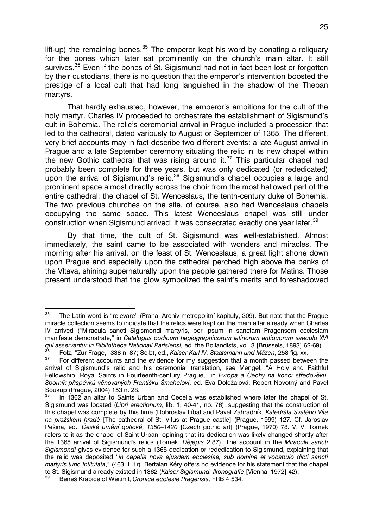lift-up) the remaining bones.<sup>[35](#page-8-0)</sup> The emperor kept his word by donating a reliquary for the bones which later sat prominently on the church's main altar. It still survives.<sup>[36](#page-8-1)</sup> Even if the bones of St. Sigismund had not in fact been lost or forgotten by their custodians, there is no question that the emperor's intervention boosted the prestige of a local cult that had long languished in the shadow of the Theban martyrs.

That hardly exhausted, however, the emperor's ambitions for the cult of the holy martyr. Charles IV proceeded to orchestrate the establishment of Sigismund's cult in Bohemia. The relic's ceremonial arrival in Prague included a procession that led to the cathedral, dated variously to August or September of 1365. The different, very brief accounts may in fact describe two different events: a late August arrival in Prague and a late September ceremony situating the relic in its new chapel within the new Gothic cathedral that was rising around it. $37$  This particular chapel had probably been complete for three years, but was only dedicated (or rededicated) upon the arrival of Sigismund's relic. $38$  Sigismund's chapel occupies a large and prominent space almost directly across the choir from the most hallowed part of the entire cathedral: the chapel of St. Wenceslaus, the tenth-century duke of Bohemia. The two previous churches on the site, of course, also had Wenceslaus chapels occupying the same space. This latest Wenceslaus chapel was still under construction when Sigismund arrived; it was consecrated exactly one year later.<sup>[39](#page-8-4)</sup>

By that time, the cult of St. Sigismund was well-established. Almost immediately, the saint came to be associated with wonders and miracles. The morning after his arrival, on the feast of St. Wenceslaus, a great light shone down upon Prague and especially upon the cathedral perched high above the banks of the Vltava, shining supernaturally upon the people gathered there for Matins. Those present understood that the glow symbolized the saint's merits and foreshadowed

<span id="page-8-0"></span><sup>35</sup> The Latin word is "relevare" (Praha, Archiv metropolitní kapituly, 309). But note that the Prague miracle collection seems to indicate that the relics were kept on the main altar already when Charles IV arrived ("Miracula sancti Sigismondi martyris, per ipsum in sanctam Pragensem ecclesiam manifeste demonstrate," in *Catalogus codicum hagiographicorum latinorum antiquorum saeculo XVI qui asservantur in Bibliotheca Nationali Parisiensi,* ed. the Bollandists, vol. 3 [Brussels, 1893] 62-69).

<span id="page-8-2"></span><span id="page-8-1"></span><sup>36</sup> Folz, "Zur Frage," 338 n. 87; Seibt, ed., *Kaiser Karl IV: Staatsmann und Mäzen*, 258 fig. xx. For different accounts and the evidence for my suggestion that a month passed between the arrival of Sigismund's relic and his ceremonial translation, see Mengel, "A Holy and Faithful Fellowship: Royal Saints in Fourteenth-century Prague," in *Evropa a Čechy na konci středověku. Sborník příspěvků věnovaných Františku Šmahelovi*, ed. Eva Doležalová, Robert Novotný and Pavel Soukup (Prague, 2004) 153 n. 28.<br><sup>38</sup> La 1362 an altar to Saints L

<span id="page-8-3"></span>In 1362 an altar to Saints Urban and Cecelia was established where later the chapel of St. Sigismund was located (*Libri erectionum*, lib. 1, 40-41, no. 76), suggesting that the construction of this chapel was complete by this time (Dobroslav Líbal and Pavel Zahradník, *Katedrála Svatého Víta na pražském hradě* [The cathedral of St. Vitus at Prague castle] (Prague, 1999) 127. Cf. Jaroslav Pešina, ed., *České umění gotické, 1350–1420* [Czech gothic art] (Prague, 1970) 78. V. V. Tomek refers to it as the chapel of Saint Urban, opining that its dedication was likely changed shortly after the 1365 arrival of Sigismund's relics (Tomek, *Dějepis* 2:87). The account in the *Miracula sancti Sigismondi* gives evidence for such a 1365 dedication or rededication to Sigismund, explaining that the relic was deposited "*in capella nova ejusdem ecclesiae, sub nomine et vocabulo dicti sancti martyris tunc intitulata*," (463; f. 1r). Bertalan Kéry offers no evidence for his statement that the chapel to St. Sigismund already existed in 1362 (*Kaiser Sigismund: Ikonografie* [Vienna, 1972] 42).

<span id="page-8-4"></span><sup>39</sup> Beneš Krabice of Weitmil, *Cronica ecclesie Pragensis,* FRB 4:534.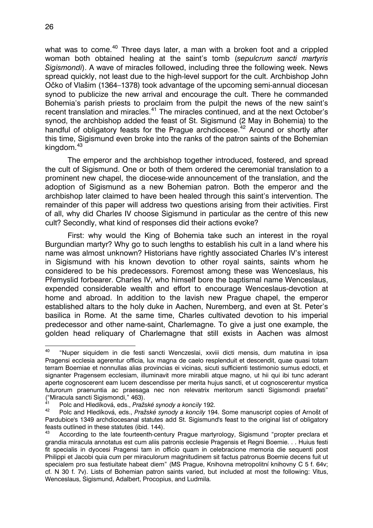what was to come.<sup>[40](#page-9-0)</sup> Three days later, a man with a broken foot and a crippled woman both obtained healing at the saint's tomb (*sepulcrum sancti martyris Sigismondi*). A wave of miracles followed, including three the following week. News spread quickly, not least due to the high-level support for the cult. Archbishop John Očko of Vlašim (1364–1378) took advantage of the upcoming semi-annual diocesan synod to publicize the new arrival and encourage the cult. There he commanded Bohemia's parish priests to proclaim from the pulpit the news of the new saint's recent translation and miracles.<sup>[41](#page-9-1)</sup> The miracles continued, and at the next October's synod, the archbishop added the feast of St. Sigismund (2 May in Bohemia) to the handful of obligatory feasts for the Prague archdiocese.<sup>[42](#page-9-2)</sup> Around or shortly after this time, Sigismund even broke into the ranks of the patron saints of the Bohemian kingdom.<sup>[43](#page-9-3)</sup>

The emperor and the archbishop together introduced, fostered, and spread the cult of Sigismund. One or both of them ordered the ceremonial translation to a prominent new chapel, the diocese-wide announcement of the translation, and the adoption of Sigismund as a new Bohemian patron. Both the emperor and the archbishop later claimed to have been healed through this saint's intervention. The remainder of this paper will address two questions arising from their activities. First of all, why did Charles IV choose Sigismund in particular as the centre of this new cult? Secondly, what kind of responses did their actions evoke?

First: why would the King of Bohemia take such an interest in the royal Burgundian martyr? Why go to such lengths to establish his cult in a land where his name was almost unknown? Historians have rightly associated Charles IV's interest in Sigismund with his known devotion to other royal saints, saints whom he considered to be his predecessors. Foremost among these was Wenceslaus, his Přemyslid forbearer. Charles IV, who himself bore the baptismal name Wenceslaus, expended considerable wealth and effort to encourage Wenceslaus-devotion at home and abroad. In addition to the lavish new Prague chapel, the emperor established altars to the holy duke in Aachen, Nuremberg, and even at St. Peter's basilica in Rome. At the same time, Charles cultivated devotion to his imperial predecessor and other name-saint, Charlemagne. To give a just one example, the golden head reliquary of Charlemagne that still exists in Aachen was almost

<span id="page-9-0"></span><sup>40</sup> 40 "Nuper siquidem in die festi sancti Wenczeslai, xxviii dicti mensis, dum matutina in ipsa Pragensi ecclesia agerentur officia, lux magna de caelo resplenduit et descendit, quae quasi totam terram Boemiae et nonnullas alias provincias ei vicinas, sicuti sufficienti testimonio sumus edocti, et signanter Pragensem ecclesiam, illuminavit more mirabili atque magno, ut hii qui ibi tunc aderant aperte cognoscerent eam lucem descendisse per merita hujus sancti, et ut cognoscerentur mystica futurorum praenuntia ac praesaga nec non relevatrix meritorum sancti Sigismondi praefati" ("Miracula sancti Sigismondi," 463).

<span id="page-9-1"></span><sup>41</sup> Polc and Hledíková, eds., *Pražské synody a koncily* 192.

<span id="page-9-2"></span><sup>42</sup> Polc and Hledíková, eds., *Pražské synody a koncily* 194. Some manuscript copies of Arnošt of Pardubice's 1349 archdiocesanal statutes add St. Sigismund's feast to the original list of obligatory feasts outlined in these statutes (ibid. 144).

<span id="page-9-3"></span><sup>43</sup> According to the late fourteenth-century Prague martyrology, Sigismund "propter preclara et grandia miracula annotatus est cum aliis patronis ecclesie Pragensis et Regni Boemie. . . Huius festi fit specialis in dyocesi Pragensi tam in officio quam in celebracione memoria die sequenti post Philippi et Jacobi quia cum per miraculorum magnitudinem sit factus patronus Boemie decens fuit ut specialem pro sua festiuitate habeat diem" (MS Prague, Knihovna metropolitní knihovny C 5 f. 64v; cf. N 30 f. 7v). Lists of Bohemian patron saints varied, but included at most the following: Vitus, Wenceslaus, Sigismund, Adalbert, Procopius, and Ludmila.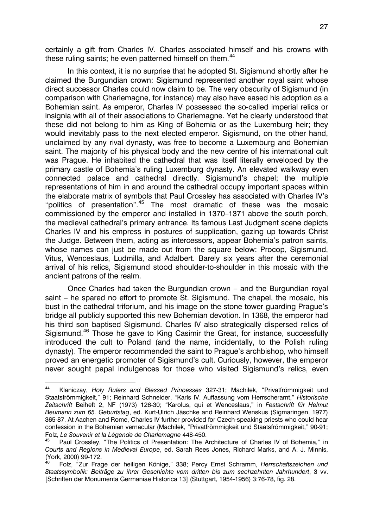certainly a gift from Charles IV. Charles associated himself and his crowns with these ruling saints; he even patterned himself on them.<sup>[44](#page-10-0)</sup>

In this context, it is no surprise that he adopted St. Sigismund shortly after he claimed the Burgundian crown: Sigismund represented another royal saint whose direct successor Charles could now claim to be. The very obscurity of Sigismund (in comparison with Charlemagne, for instance) may also have eased his adoption as a Bohemian saint. As emperor, Charles IV possessed the so-called imperial relics or insignia with all of their associations to Charlemagne. Yet he clearly understood that these did not belong to him as King of Bohemia or as the Luxemburg heir; they would inevitably pass to the next elected emperor. Sigismund, on the other hand, unclaimed by any rival dynasty, was free to become a Luxemburg and Bohemian saint. The majority of his physical body and the new centre of his international cult was Prague. He inhabited the cathedral that was itself literally enveloped by the primary castle of Bohemia's ruling Luxemburg dynasty. An elevated walkway even connected palace and cathedral directly. Sigismund's chapel; the multiple representations of him in and around the cathedral occupy important spaces within the elaborate matrix of symbols that Paul Crossley has associated with Charles IV's "politics of presentation".[45](#page-10-1) The most dramatic of these was the mosaic commissioned by the emperor and installed in 1370–1371 above the south porch, the medieval cathedral's primary entrance. Its famous Last Judgment scene depicts Charles IV and his empress in postures of supplication, gazing up towards Christ the Judge. Between them, acting as intercessors, appear Bohemia's patron saints, whose names can just be made out from the square below: Procop, Sigismund, Vitus, Wenceslaus, Ludmilla, and Adalbert. Barely six years after the ceremonial arrival of his relics, Sigismund stood shoulder-to-shoulder in this mosaic with the ancient patrons of the realm.

Once Charles had taken the Burgundian crown – and the Burgundian royal saint – he spared no effort to promote St. Sigismund. The chapel, the mosaic, his bust in the cathedral triforium, and his image on the stone tower guarding Prague's bridge all publicly supported this new Bohemian devotion. In 1368, the emperor had his third son baptised Sigismund. Charles IV also strategically dispersed relics of Sigismund.<sup>[46](#page-10-2)</sup> Those he gave to King Casimir the Great, for instance, successfully introduced the cult to Poland (and the name, incidentally, to the Polish ruling dynasty). The emperor recommended the saint to Prague's archbishop, who himself proved an energetic promoter of Sigismund's cult. Curiously, however, the emperor never sought papal indulgences for those who visited Sigismund's relics, even

<span id="page-10-0"></span> $44$ 44 Klaniczay, *Holy Rulers and Blessed Princesses* 327-31; Machilek, "Privatfrömmigkeit und Staatsfrömmigkeit," 91; Reinhard Schneider, "Karls IV. Auffassung vom Herrscheramt," *Historische Zeitschrift* Beiheft 2, NF (1973) 126-30; "Karolus, qui et Wenceslaus," in *Festschrift für Helmut Beumann zum 65. Geburtstag*, ed. Kurt-Ulrich Jäschke and Reinhard Wenskus (Sigmaringen, 1977) 365-87. At Aachen and Rome, Charles IV further provided for Czech-speaking priests who could hear confession in the Bohemian vernacular (Machilek, "Privatfrömmigkeit und Staatsfrömmigkeit," 90-91; Folz, *Le Souvenir et la Légende de Charlemagne* 448-450.

<span id="page-10-1"></span>Paul Crossley, "The Politics of Presentation: The Architecture of Charles IV of Bohemia," in *Courts and Regions in Medieval Europe*, ed. Sarah Rees Jones, Richard Marks, and A. J. Minnis,  $(York, 2000) 99-172.$ 

<span id="page-10-2"></span><sup>46</sup> Folz, "Zur Frage der heiligen Könige," 338; Percy Ernst Schramm, *Herrschaftszeichen und Staatssymbolik: Beiträge zu ihrer Geschichte vom dritten bis zum sechzehnten Jahrhundert*, 3 vv. [Schriften der Monumenta Germaniae Historica 13] (Stuttgart, 1954-1956) 3:76-78, fig. 28.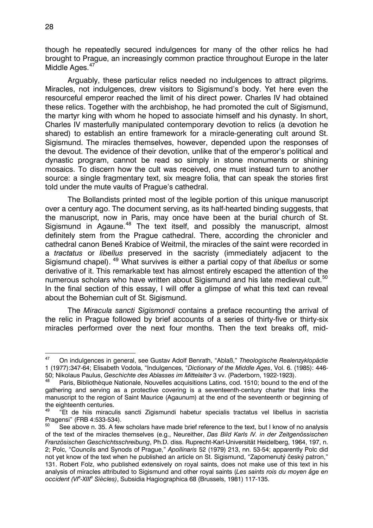though he repeatedly secured indulgences for many of the other relics he had brought to Prague, an increasingly common practice throughout Europe in the later Middle Ages.<sup>[47](#page-11-0)</sup>

Arguably, these particular relics needed no indulgences to attract pilgrims. Miracles, not indulgences, drew visitors to Sigismund's body. Yet here even the resourceful emperor reached the limit of his direct power. Charles IV had obtained these relics. Together with the archbishop, he had promoted the cult of Sigismund, the martyr king with whom he hoped to associate himself and his dynasty. In short, Charles IV masterfully manipulated contemporary devotion to relics (a devotion he shared) to establish an entire framework for a miracle-generating cult around St. Sigismund. The miracles themselves, however, depended upon the responses of the devout. The evidence of their devotion, unlike that of the emperor's political and dynastic program, cannot be read so simply in stone monuments or shining mosaics. To discern how the cult was received, one must instead turn to another source: a single fragmentary text, six meagre folia, that can speak the stories first told under the mute vaults of Prague's cathedral.

The Bollandists printed most of the legible portion of this unique manuscript over a century ago. The document serving, as its half-hearted binding suggests, that the manuscript, now in Paris, may once have been at the burial church of St. Sigismund in Agaune.<sup>[48](#page-11-1)</sup> The text itself, and possibly the manuscript, almost definitely stem from the Prague cathedral. There, according the chronicler and cathedral canon Beneš Krabice of Weitmil, the miracles of the saint were recorded in a *tractatus* or *libellus* preserved in the sacristy (immediately adjacent to the Sigismund chapel). [49](#page-11-2) What survives is either a partial copy of that *libellus* or some derivative of it. This remarkable text has almost entirely escaped the attention of the numerous scholars who have written about Sigismund and his late medieval cult.<sup>[50](#page-11-3)</sup> In the final section of this essay, I will offer a glimpse of what this text can reveal about the Bohemian cult of St. Sigismund.

The *Miracula sancti Sigismondi* contains a preface recounting the arrival of the relic in Prague followed by brief accounts of a series of thirty-five or thirty-six miracles performed over the next four months. Then the text breaks off, mid-

<span id="page-11-0"></span><sup>47</sup> 47 On indulgences in general, see Gustav Adolf Benrath, "Ablaß," *Theologische Realenzyklopädie* 1 (1977):347-64; Elisabeth Vodola, "Indulgences, "*Dictionary of the Middle Ages*, Vol. 6. (1985): 446- 50; Nikolaus Paulus, *Geschichte des Ablasses im Mittelalter* 3 vv. (Paderborn, 1922-1923).

<span id="page-11-1"></span>Paris, Bibliothèque Nationale, Nouvelles acquisitions Latins, cod. 1510; bound to the end of the gathering and serving as a protective covering is a seventeenth-century charter that links the manuscript to the region of Saint Maurice (Agaunum) at the end of the seventeenth or beginning of the eighteenth centuries.

<span id="page-11-2"></span><sup>&</sup>quot;Et de hiis miraculis sancti Zigismundi habetur specialis tractatus vel libellus in sacristia Pragensi" (FRB 4:533-534).

<span id="page-11-3"></span>See above n. 35. A few scholars have made brief reference to the text, but I know of no analysis of the text of the miracles themselves (e.g., Neureither, *Das Bild Karls IV. in der Zeitgenössischen Französischen Geschichtsschreibung*, Ph.D. diss. Ruprecht-Karl-Universität Heidelberg, 1964, 197, n. 2; Polc, "Councils and Synods of Prague," *Apollinaris* 52 (1979) 213, nn. 53-54; apparently Polc did not yet know of the text when he published an article on St. Sigismund, "Zapomenutý český patron," 131. Robert Folz, who published extensively on royal saints, does not make use of this text in his analysis of miracles attributed to Sigismund and other royal saints (*Les saints rois du moyen âge en occident (VIe -XIIIe Siècles)*, Subsidia Hagiographica 68 (Brussels, 1981) 117-135.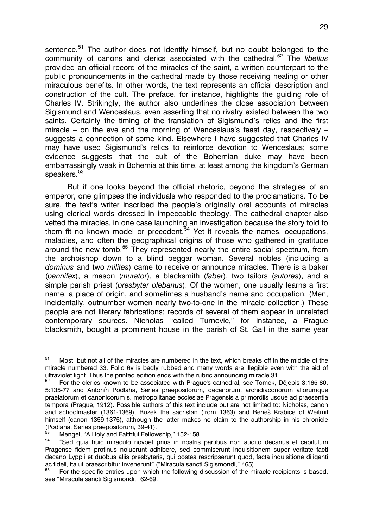sentence.<sup>[51](#page-12-0)</sup> The author does not identify himself, but no doubt belonged to the community of canons and clerics associated with the cathedral.[52](#page-12-1) The *libellus* provided an official record of the miracles of the saint, a written counterpart to the public pronouncements in the cathedral made by those receiving healing or other miraculous benefits. In other words, the text represents an official description and construction of the cult. The preface, for instance, highlights the guiding role of Charles IV. Strikingly, the author also underlines the close association between Sigismund and Wenceslaus, even asserting that no rivalry existed between the two saints. Certainly the timing of the translation of Sigismund's relics and the first miracle – on the eve and the morning of Wenceslaus's feast day, respectively – suggests a connection of some kind. Elsewhere I have suggested that Charles IV may have used Sigismund's relics to reinforce devotion to Wenceslaus; some evidence suggests that the cult of the Bohemian duke may have been embarrassingly weak in Bohemia at this time, at least among the kingdom's German speakers.<sup>[53](#page-12-2)</sup>

But if one looks beyond the official rhetoric, beyond the strategies of an emperor, one glimpses the individuals who responded to the proclamations. To be sure, the text's writer inscribed the people's originally oral accounts of miracles using clerical words dressed in impeccable theology. The cathedral chapter also vetted the miracles, in one case launching an investigation because the story told to them fit no known model or precedent.<sup>[54](#page-12-3)</sup> Yet it reveals the names, occupations, maladies, and often the geographical origins of those who gathered in gratitude around the new tomb.<sup>[55](#page-12-4)</sup> They represented nearly the entire social spectrum, from the archbishop down to a blind beggar woman. Several nobles (including a *dominus* and two *milites*) came to receive or announce miracles. There is a baker (*pannifex*), a mason (*murator*), a blacksmith (*faber*), two tailors (*sutores*), and a simple parish priest (*presbyter plebanus*). Of the women, one usually learns a first name, a place of origin, and sometimes a husband's name and occupation. (Men, incidentally, outnumber women nearly two-to-one in the miracle collection.) These people are not literary fabrications; records of several of them appear in unrelated contemporary sources. Nicholas "called Turnovic," for instance, a Prague blacksmith, bought a prominent house in the parish of St. Gall in the same year

<span id="page-12-0"></span> $51$ Most, but not all of the miracles are numbered in the text, which breaks off in the middle of the miracle numbered 33. Folio 6v is badly rubbed and many words are illegible even with the aid of ultraviolet light. Thus the printed edition ends with the rubric announcing miracle 31.

<span id="page-12-1"></span><sup>52</sup> For the clerics known to be associated with Prague's cathedral, see Tomek, Dějepis 3:165-80, 5:135-77 and Antonín Podlaha, Series praepositorum, decanorum, archidiaconorum aliorumque praelatorum et canonicorum s. metropolitanae ecclesiae Pragensis a primordiis usque ad praesentia tempora (Prague, 1912). Possible authors of this text include but are not limited to: Nicholas, canon and schoolmaster (1361-1369), Buzek the sacristan (from 1363) and Beneš Krabice of Weitmil himself (canon 1359-1375), although the latter makes no claim to the authorship in his chronicle (Podlaha, Series praepositorum, 39-41).

<span id="page-12-2"></span> $^{53}$  Mengel, "A Holy and Faithful Fellowship," 152-158.

<span id="page-12-3"></span><sup>&</sup>quot;Sed quia huic miraculo novoet prius in nostris partibus non audito decanus et capitulum Pragense fidem protinus noluerunt adhibere, sed commiserunt inquisitionem super veritate facti decano Lyppii et duobus aliis presbyteris, qui postea rescripserunt quod, facta inquisitione diligenti ac fideli, ita ut praescribitur invenerunt" ("Miracula sancti Sigismondi," 465).

<span id="page-12-4"></span><sup>55</sup> For the specific entries upon which the following discussion of the miracle recipients is based, see "Miracula sancti Sigismondi," 62-69.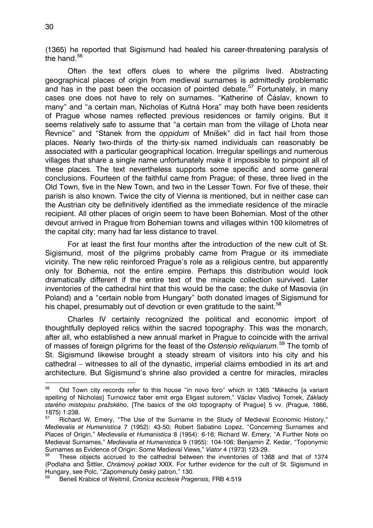(1365) he reported that Sigismund had healed his career-threatening paralysis of the hand.<sup>[56](#page-13-0)</sup>

Often the text offers clues to where the pilgrims lived. Abstracting geographical places of origin from medieval surnames is admittedly problematic and has in the past been the occasion of pointed debate.<sup>[57](#page-13-1)</sup> Fortunately, in many cases one does not have to rely on surnames. "Katherine of Čáslav, known to many" and "a certain man, Nicholas of Kutná Hora" may both have been residents of Prague whose names reflected previous residences or family origins. But it seems relatively safe to assume that "a certain man from the village of Lhota near Řevnice" and "Stanek from the *oppidum* of Mníšek" did in fact hail from those places. Nearly two-thirds of the thirty-six named individuals can reasonably be associated with a particular geographical location. Irregular spellings and numerous villages that share a single name unfortunately make it impossible to pinpoint all of these places. The text nevertheless supports some specific and some general conclusions. Fourteen of the faithful came from Prague; of these, three lived in the Old Town, five in the New Town, and two in the Lesser Town. For five of these, their parish is also known. Twice the city of Vienna is mentioned, but in neither case can the Austrian city be definitively identified as the immediate residence of the miracle recipient. All other places of origin seem to have been Bohemian. Most of the other devout arrived in Prague from Bohemian towns and villages within 100 kilometres of the capital city; many had far less distance to travel.

For at least the first four months after the introduction of the new cult of St. Sigismund, most of the pilgrims probably came from Prague or its immediate vicinity. The new relic reinforced Prague's role as a religious centre, but apparently only for Bohemia, not the entire empire. Perhaps this distribution would look dramatically different if the entire text of the miracle collection survived. Later inventories of the cathedral hint that this would be the case; the duke of Masovia (in Poland) and a "certain noble from Hungary" both donated images of Sigismund for his chapel, presumably out of devotion or even gratitude to the saint.<sup>[58](#page-13-2)</sup>

Charles IV certainly recognized the political and economic import of thoughtfully deployed relics within the sacred topography. This was the monarch, after all, who established a new annual market in Prague to coincide with the arrival of masses of foreign pilgrims for the feast of the *Ostensio reliquiarum*. [59](#page-13-3) The tomb of St. Sigismund likewise brought a steady stream of visitors into his city and his cathedral – witnesses to all of the dynastic, imperial claims embodied in its art and architecture. But Sigismund's shrine also provided a centre for miracles, miracles

<span id="page-13-0"></span><sup>56</sup> 56 Old Town city records refer to this house "in novo foro" which in 1365 "Mikechs [a variant spelling of Nicholas] Turnowicz faber emit erga Eligast sutorem," Václav Vladivoj Tomek, *Základy starého místopisu pražského*, [The basics of the old topography of Prague] 5 vv. (Prague, 1866,  $1875$ ) 1:238.

<span id="page-13-1"></span>Richard W. Emery, "The Use of the Surname in the Study of Medieval Economic History," *Medievalia et Humanistica* 7 (1952): 43-50; Robert Sabatino Lopez, "Concerning Surnames and Places of Origin," *Medievalia et Humanistica* 8 (1954): 6-16; Richard W. Emery, "A Further Note on Medieval Surnames," *Medievalia et Humanistica* 9 (1955): 104-106; Benjamin Z. Kedar, "Toponymic Surnames as Evidence of Origin: Some Medieval Views," *Viator* 4 (1973) 123-29.

<span id="page-13-2"></span><sup>58</sup> These objects accrued to the cathedral between the inventories of 1368 and that of 1374 (Podlaha and Šittler, *Chrámový poklad* XXIX. For further evidence for the cult of St. Sigismund in Hungary, see Polc, "Zapomenutý český patron," 130.

<span id="page-13-3"></span><sup>59</sup> Beneš Krabice of Weitmil, *Cronica ecclesie Pragensis,* FRB 4:519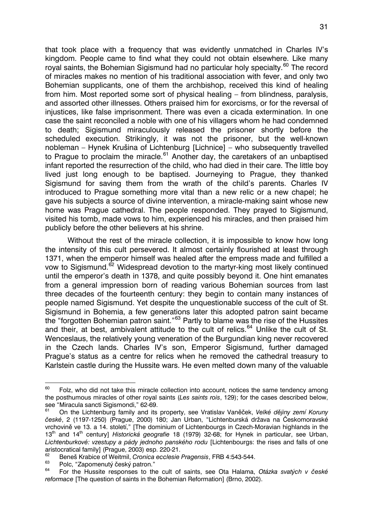that took place with a frequency that was evidently unmatched in Charles IV's kingdom. People came to find what they could not obtain elsewhere. Like many royal saints, the Bohemian Sigismund had no particular holy specialty.<sup>[60](#page-14-0)</sup> The record of miracles makes no mention of his traditional association with fever, and only two Bohemian supplicants, one of them the archbishop, received this kind of healing from him. Most reported some sort of physical healing – from blindness, paralysis, and assorted other illnesses. Others praised him for exorcisms, or for the reversal of injustices, like false imprisonment. There was even a cicada extermination. In one case the saint reconciled a noble with one of his villagers whom he had condemned to death; Sigismund miraculously released the prisoner shortly before the scheduled execution. Strikingly, it was not the prisoner, but the well-known nobleman – Hynek Krušina of Lichtenburg [Lichnice] – who subsequently travelled to Prague to proclaim the miracle.<sup>[61](#page-14-1)</sup> Another day, the caretakers of an unbaptised infant reported the resurrection of the child, who had died in their care. The little boy lived just long enough to be baptised. Journeying to Prague, they thanked Sigismund for saving them from the wrath of the child's parents. Charles IV introduced to Prague something more vital than a new relic or a new chapel; he gave his subjects a source of divine intervention, a miracle-making saint whose new home was Prague cathedral. The people responded. They prayed to Sigismund, visited his tomb, made vows to him, experienced his miracles, and then praised him publicly before the other believers at his shrine.

Without the rest of the miracle collection, it is impossible to know how long the intensity of this cult persevered. It almost certainly flourished at least through 1371, when the emperor himself was healed after the empress made and fulfilled a vow to Sigismund.<sup>[62](#page-14-2)</sup> Widespread devotion to the martyr-king most likely continued until the emperor's death in 1378, and quite possibly beyond it. One hint emanates from a general impression born of reading various Bohemian sources from last three decades of the fourteenth century: they begin to contain many instances of people named Sigismund. Yet despite the unquestionable success of the cult of St. Sigismund in Bohemia, a few generations later this adopted patron saint became the "forgotten Bohemian patron saint."[63](#page-14-3) Partly to blame was the rise of the Hussites and their, at best, ambivalent attitude to the cult of relics.<sup>[64](#page-14-4)</sup> Unlike the cult of St. Wenceslaus, the relatively young veneration of the Burgundian king never recovered in the Czech lands. Charles IV's son, Emperor Sigismund, further damaged Prague's status as a centre for relics when he removed the cathedral treasury to Karlstein castle during the Hussite wars. He even melted down many of the valuable

<span id="page-14-0"></span><sup>60</sup> Folz, who did not take this miracle collection into account, notices the same tendency among the posthumous miracles of other royal saints (*Les saints rois*, 129); for the cases described below, see "Miracula sancti Sigismondi," 62-69.<br><sup>61</sup> On the Liebtenburg family and its

<span id="page-14-1"></span><sup>61</sup> On the Lichtenburg family and its property, see Vratislav Vaněček, *Velké dějiny zemí Koruny české*, 2 (1197-1250) (Prague, 2000) 180; Jan Urban, "Lichtenburská država na Českomoravské vrchovině ve 13. a 14. století," [The dominium of Lichtenbourgs in Czech-Moravian highlands in the 13th and 14th century] *Historická geografie* 18 (1979) 32-68; for Hynek in particular, see Urban, *Lichtenburkové: vzestupy a pády jednoho panského rodu* [Lichtenbourgs: the rises and falls of one aristocratical family] (Prague, 2003) esp. 220-21.

<span id="page-14-2"></span><sup>62</sup> Beneš Krabice of Weitmil, *Cronica ecclesie Pragensis*, FRB 4:543-544.

<span id="page-14-3"></span> $^{63}$  Polc, "Zapomenutý český patron."

<span id="page-14-4"></span><sup>64</sup> For the Hussite responses to the cult of saints, see Ota Halama, *Otázka svatých v české reformace* [The question of saints in the Bohemian Reformation] (Brno, 2002).